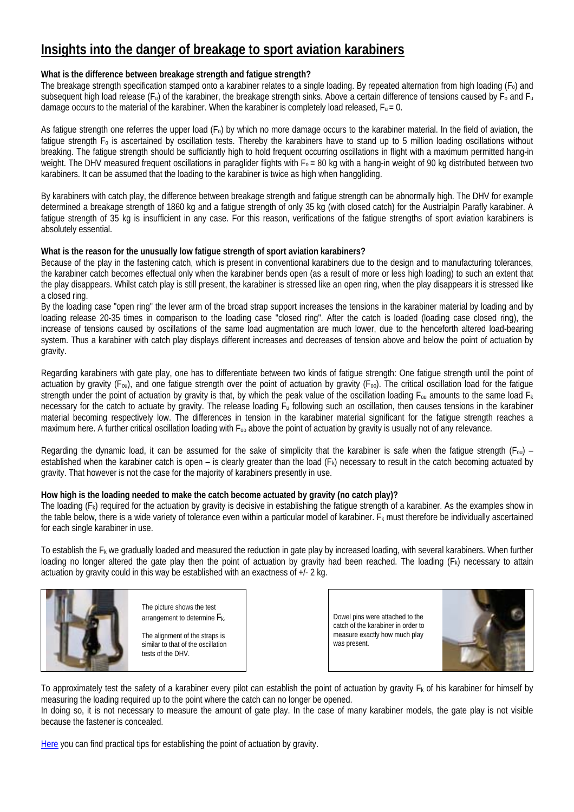# **Insights into the danger of breakage to sport aviation karabiners**

## **What is the difference between breakage strength and fatigue strength?**

The breakage strength specification stamped onto a karabiner relates to a single loading. By repeated alternation from high loading (Fo) and subsequent high load release ( $F_u$ ) of the karabiner, the breakage strength sinks. Above a certain difference of tensions caused by  $F_0$  and  $F_u$ damage occurs to the material of the karabiner. When the karabiner is completely load released,  $F_u = 0$ .

As fatigue strength one referres the upper load (Fo) by which no more damage occurs to the karabiner material. In the field of aviation, the fatigue strength F<sub>o</sub> is ascertained by oscillation tests. Thereby the karabiners have to stand up to 5 million loading oscillations without breaking. The fatigue strength should be sufficiantly high to hold frequent occurring oscillations in flight with a maximum permitted hang-in weight. The DHV measured frequent oscillations in paraglider flights with  $F_0 = 80$  kg with a hang-in weight of 90 kg distributed between two karabiners. It can be assumed that the loading to the karabiner is twice as high when hanggliding.

By karabiners with catch play, the difference between breakage strength and fatigue strength can be abnormally high. The DHV for example determined a breakage strength of 1860 kg and a fatigue strength of only 35 kg (with closed catch) for the Austrialpin Parafly karabiner. A fatigue strength of 35 kg is insufficient in any case. For this reason, verifications of the fatigue strengths of sport aviation karabiners is absolutely essential.

## **What is the reason for the unusually low fatigue strength of sport aviation karabiners?**

Because of the play in the fastening catch, which is present in conventional karabiners due to the design and to manufacturing tolerances, the karabiner catch becomes effectual only when the karabiner bends open (as a result of more or less high loading) to such an extent that the play disappears. Whilst catch play is still present, the karabiner is stressed like an open ring, when the play disappears it is stressed like a closed ring.

By the loading case "open ring" the lever arm of the broad strap support increases the tensions in the karabiner material by loading and by loading release 20-35 times in comparison to the loading case "closed ring". After the catch is loaded (loading case closed ring), the increase of tensions caused by oscillations of the same load augmentation are much lower, due to the henceforth altered load-bearing system. Thus a karabiner with catch play displays different increases and decreases of tension above and below the point of actuation by gravity.

Regarding karabiners with gate play, one has to differentiate between two kinds of fatigue strength: One fatigue strength until the point of actuation by gravity ( $F_{\text{ou}}$ ), and one fatigue strength over the point of actuation by gravity ( $F_{\text{oo}}$ ). The critical oscillation load for the fatigue strength under the point of actuation by gravity is that, by which the peak value of the oscillation loading  $F_{0u}$  amounts to the same load  $F_k$ necessary for the catch to actuate by gravity. The release loading F<sub>u</sub> following such an oscillation, then causes tensions in the karabiner material becoming respectively low. The differences in tension in the karabiner material significant for the fatigue strength reaches a maximum here. A further critical oscillation loading with  $F_{00}$  above the point of actuation by gravity is usually not of any relevance.

Regarding the dynamic load, it can be assumed for the sake of simplicity that the karabiner is safe when the fatigue strength ( $F_{0u}$ ) – established when the karabiner catch is open – is clearly greater than the load (F<sub>k</sub>) necessary to result in the catch becoming actuated by gravity. That however is not the case for the majority of karabiners presently in use.

## **How high is the loading needed to make the catch become actuated by gravity (no catch play)?**

The loading  $(F_k)$  required for the actuation by gravity is decisive in establishing the fatigue strength of a karabiner. As the examples show in the table below, there is a wide variety of tolerance even within a particular model of karabiner.  $F_k$  must therefore be individually ascertained for each single karabiner in use.

To establish the Fk we gradually loaded and measured the reduction in gate play by increased loading, with several karabiners. When further loading no longer altered the gate play then the point of actuation by gravity had been reached. The loading (Fk) necessary to attain actuation by gravity could in this way be established with an exactness of +/- 2 kg.



The picture shows the test arrangement to determine Fk.

The alignment of the straps is similar to that of the oscillation tests of the DHV.

Dowel pins were attached to the catch of the karabiner in order to measure exactly how much play was present.



To approximately test the safety of a karabiner every pilot can establish the point of actuation by gravity  $F_k$  of his karabiner for himself by measuring the loading required up to the point where the catch can no longer be opened. In doing so, it is not necessary to measure the amount of gate play. In the case of many karabiner models, the gate play is not visible

because the fastener is concealed.

[Here](http://www.finsterwalder-charly.de/downloads/sicherheitscheck_karabiner_eng.pdf) you can find practical tips for establishing the point of actuation by gravity.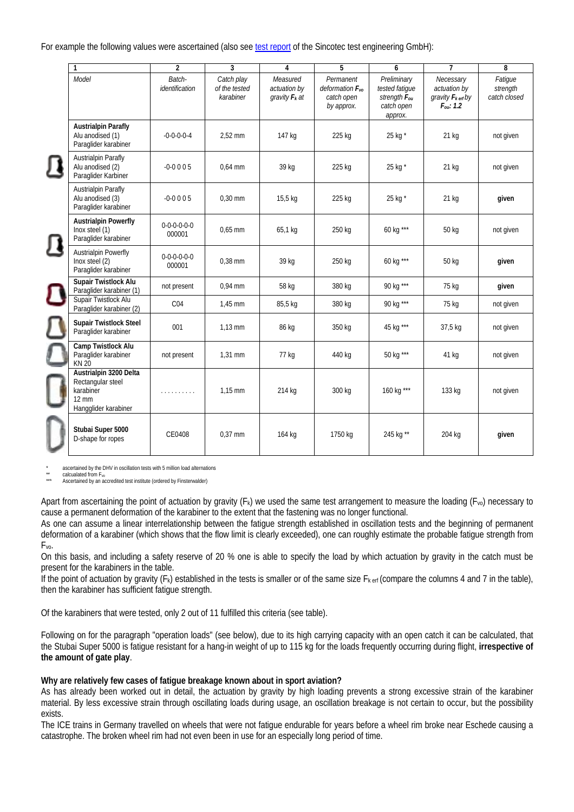For example the following values were ascertained (also see [test report](http://www.finsterwalder-charly.de/downloads/karabiner_pruefbericht_sincotec.pdf) of the Sincotec test engineering GmbH):

| 1                                                                                                   | $\overline{2}$                | 3                                        | 4                                            | 5                                                             | 6                                                                                  | $\overline{1}$                                                                        | 8                                   |
|-----------------------------------------------------------------------------------------------------|-------------------------------|------------------------------------------|----------------------------------------------|---------------------------------------------------------------|------------------------------------------------------------------------------------|---------------------------------------------------------------------------------------|-------------------------------------|
| Model                                                                                               | Batch-<br>identification      | Catch play<br>of the tested<br>karabiner | Measured<br>actuation by<br>gravity $F_k$ at | Permanent<br>deformation $F_{vo}$<br>catch open<br>by approx. | Preliminary<br>tested fatique<br>strength F <sub>ou</sub><br>catch open<br>approx. | Necessary<br>actuation by<br>gravity $F_{k \text{ erf}}$ by<br>$F_{\text{out}}$ : 1.2 | Fatigue<br>strength<br>catch closed |
| <b>Austrialpin Parafly</b><br>Alu anodised (1)<br>Paraglider karabiner                              | $-0-0-0-0-4$                  | 2,52 mm                                  | 147 kg                                       | 225 kg                                                        | 25 kg *                                                                            | 21 kg                                                                                 | not given                           |
| <b>Austrialpin Parafly</b><br>Alu anodised (2)<br>Paraglider Karbiner                               | $-0.0005$                     | $0.64$ mm                                | 39 kg                                        | 225 kg                                                        | 25 kg *                                                                            | 21 kg                                                                                 | not given                           |
| <b>Austrialpin Parafly</b><br>Alu anodised (3)<br>Paraglider karabiner                              | $-0 - 0005$                   | $0,30$ mm                                | 15,5 kg                                      | 225 kg                                                        | 25 kg *                                                                            | 21 kg                                                                                 | given                               |
| <b>Austrialpin Powerfly</b><br>Inox steel (1)<br>Paraglider karabiner                               | $0 - 0 - 0 - 0 - 0$<br>000001 | $0.65$ mm                                | 65,1 kg                                      | 250 kg                                                        | 60 kg ***                                                                          | 50 kg                                                                                 | not given                           |
| <b>Austrialpin Powerfly</b><br>Inox steel (2)<br>Paraglider karabiner                               | $0 - 0 - 0 - 0 - 0$<br>000001 | $0.38$ mm                                | 39 kg                                        | 250 kg                                                        | 60 kg ***                                                                          | 50 kg                                                                                 | given                               |
| Supair Twistlock Alu<br>Paraglider karabiner (1)                                                    | not present                   | 0,94 mm                                  | 58 kg                                        | 380 kg                                                        | 90 kg ***                                                                          | 75 kg                                                                                 | given                               |
| Supair Twistlock Alu<br>Paraglider karabiner (2)                                                    | CO <sub>4</sub>               | 1,45 mm                                  | 85,5 kg                                      | 380 kg                                                        | 90 kg ***                                                                          | 75 kg                                                                                 | not given                           |
| <b>Supair Twistlock Steel</b><br>Paraglider karabiner                                               | 001                           | $1,13$ mm                                | 86 kg                                        | 350 kg                                                        | 45 kg ***                                                                          | 37,5 kg                                                                               | not given                           |
| Camp Twistlock Alu<br>Paraglider karabiner<br><b>KN 20</b>                                          | not present                   | $1.31$ mm                                | 77 kg                                        | 440 kg                                                        | 50 kg ***                                                                          | 41 kg                                                                                 | not given                           |
| Austrialpin 3200 Delta<br>Rectangular steel<br>karabiner<br>$12 \text{ mm}$<br>Hangglider karabiner | .                             | $1,15$ mm                                | 214 kg                                       | 300 kg                                                        | 160 kg ***                                                                         | 133 kg                                                                                | not given                           |
| Stubai Super 5000<br>D-shape for ropes                                                              | CE0408                        | $0.37$ mm                                | 164 kg                                       | 1750 kg                                                       | 245 kg **                                                                          | 204 kg                                                                                | given                               |

ascertained by the DHV in oscillation tests with 5 million load alternations calcualated from E<sub>vo</sub>

Ascertained by an accredited test institute (ordered by Finsterwalder)

Apart from ascertaining the point of actuation by gravity  $(F_k)$  we used the same test arrangement to measure the loading  $(F_w)$  necessary to cause a permanent deformation of the karabiner to the extent that the fastening was no longer functional.

As one can assume a linear interrelationship between the fatigue strength established in oscillation tests and the beginning of permanent deformation of a karabiner (which shows that the flow limit is clearly exceeded), one can roughly estimate the probable fatigue strength from Fvo.

On this basis, and including a safety reserve of 20 % one is able to specify the load by which actuation by gravity in the catch must be present for the karabiners in the table.

If the point of actuation by gravity  $(F_k)$  established in the tests is smaller or of the same size  $F_k$  erf (compare the columns 4 and 7 in the table), then the karabiner has sufficient fatigue strength.

Of the karabiners that were tested, only 2 out of 11 fulfilled this criteria (see table).

Following on for the paragraph "operation loads" (see below), due to its high carrying capacity with an open catch it can be calculated, that the Stubai Super 5000 is fatigue resistant for a hang-in weight of up to 115 kg for the loads frequently occurring during flight, **irrespective of the amount of gate play**.

#### **Why are relatively few cases of fatigue breakage known about in sport aviation?**

As has already been worked out in detail, the actuation by gravity by high loading prevents a strong excessive strain of the karabiner material. By less excessive strain through oscillating loads during usage, an oscillation breakage is not certain to occur, but the possibility exists.

The ICE trains in Germany travelled on wheels that were not fatigue endurable for years before a wheel rim broke near Eschede causing a catastrophe. The broken wheel rim had not even been in use for an especially long period of time.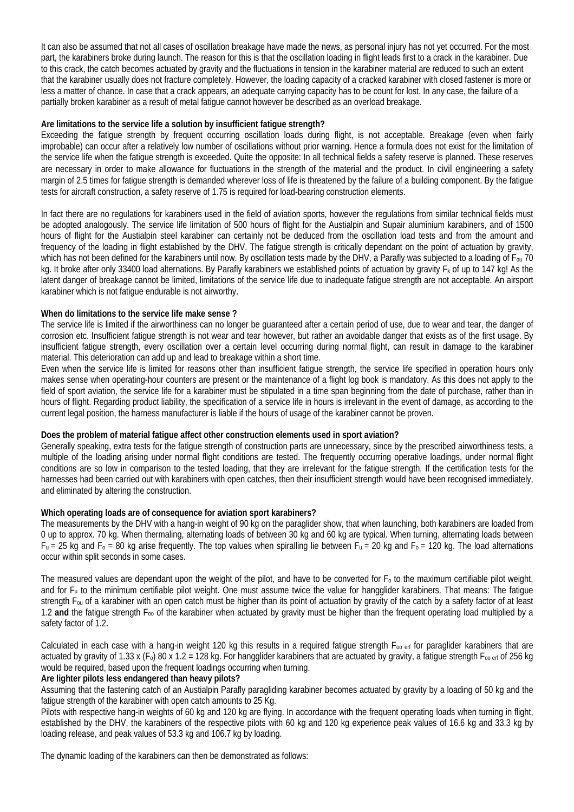It can also be assumed that not all cases of oscillation breakage have made the news, as personal injury has not yet occurred. For the most part, the karabiners broke during launch. The reason for this is that the oscillation loading in flight leads first to a crack in the karabiner. Due to this crack, the catch becomes actuated by gravity and the fluctuations in tension in the karabiner material are reduced to such an extent that the karabiner usually does not fracture completely. However, the loading capacity of a cracked karabiner with closed fastener is more or less a matter of chance. In case that a crack appears, an adequate carrying capacity has to be count for lost. In any case, the failure of a partially broken karabiner as a result of metal fatigue cannot however be described as an overload breakage.

### **Are limitations to the service life a solution by insufficient fatigue strength?**

Exceeding the fatigue strength by frequent occurring oscillation loads during flight, is not acceptable. Breakage (even when fairly improbable) can occur after a relatively low number of oscillations without prior warning. Hence a formula does not exist for the limitation of the service life when the fatigue strength is exceeded. Quite the opposite: In all technical fields a safety reserve is planned. These reserves are necessary in order to make allowance for fluctuations in the strength of the material and the product. In civil engineering a safety margin of 2.5 times for fatigue strength is demanded wherever loss of life is threatened by the failure of a building component. By the fatigue tests for aircraft construction, a safety reserve of 1.75 is required for load-bearing construction elements.

In fact there are no regulations for karabiners used in the field of aviation sports, however the regulations from similar technical fields must be adopted analogously. The service life limitation of 500 hours of flight for the Austialpin and Supair aluminium karabiners, and of 1500 hours of flight for the Austialpin steel karabiner can certainly not be deduced from the oscillation load tests and from the amount and frequency of the loading in flight established by the DHV. The fatigue strength is critically dependant on the point of actuation by gravity, which has not been defined for the karabiners until now. By oscillation tests made by the DHV, a Parafly was subjected to a loading of F<sub>ou</sub> 70 kg. It broke after only 33400 load alternations. By Parafly karabiners we established points of actuation by gravity F<sub>k</sub> of up to 147 kg! As the latent danger of breakage cannot be limited, limitations of the service life due to inadequate fatigue strength are not acceptable. An airsport karabiner which is not fatigue endurable is not airworthy.

#### **When do limitations to the service life make sense ?**

The service life is limited if the airworthiness can no longer be guaranteed after a certain period of use, due to wear and tear, the danger of corrosion etc. Insufficient fatigue strength is not wear and tear however, but rather an avoidable danger that exists as of the first usage. By insufficient fatigue strength, every oscillation over a certain level occurring during normal flight, can result in damage to the karabiner material. This deterioration can add up and lead to breakage within a short time.

Even when the service life is limited for reasons other than insufficient fatigue strength, the service life specified in operation hours only makes sense when operating-hour counters are present or the maintenance of a flight log book is mandatory. As this does not apply to the field of sport aviation, the service life for a karabiner must be stipulated in a time span beginning from the date of purchase, rather than in hours of flight. Regarding product liability, the specification of a service life in hours is irrelevant in the event of damage, as according to the current legal position, the harness manufacturer is liable if the hours of usage of the karabiner cannot be proven.

#### **Does the problem of material fatigue affect other construction elements used in sport aviation?**

Generally speaking, extra tests for the fatigue strength of construction parts are unnecessary, since by the prescribed airworthiness tests, a multiple of the loading arising under normal flight conditions are tested. The frequently occurring operative loadings, under normal flight conditions are so low in comparison to the tested loading, that they are irrelevant for the fatigue strength. If the certification tests for the harnesses had been carried out with karabiners with open catches, then their insufficient strength would have been recognised immediately, and eliminated by altering the construction.

## **Which operating loads are of consequence for aviation sport karabiners?**

The measurements by the DHV with a hang-in weight of 90 kg on the paraglider show, that when launching, both karabiners are loaded from 0 up to approx. 70 kg. When thermaling, alternating loads of between 30 kg and 60 kg are typical. When turning, alternating loads between  $F_u = 25$  kg and  $F_o = 80$  kg arise frequently. The top values when spiralling lie between  $F_u = 20$  kg and  $F_o = 120$  kg. The load alternations occur within split seconds in some cases.

The measured values are dependant upon the weight of the pilot, and have to be converted for  $F_0$  to the maximum certifiable pilot weight, and for Fu to the minimum certifiable pilot weight. One must assume twice the value for hangglider karabiners. That means: The fatigue strength Fou of a karabiner with an open catch must be higher than its point of actuation by gravity of the catch by a safety factor of at least 1.2 **and** the fatigue strength Foo of the karabiner when actuated by gravity must be higher than the frequent operating load multiplied by a safety factor of 1.2.

Calculated in each case with a hang-in weight 120 kg this results in a required fatigue strength  $F_{oo}$  erf for paraglider karabiners that are actuated by gravity of 1.33 x (F<sub>o</sub>) 80 x 1.2 = 128 kg. For hangglider karabiners that are actuated by gravity, a fatigue strength F<sub>oo erf</sub> of 256 kg would be required, based upon the frequent loadings occurring when turning.

#### **Are lighter pilots less endangered than heavy pilots?**

Assuming that the fastening catch of an Austialpin Parafly paragliding karabiner becomes actuated by gravity by a loading of 50 kg and the fatigue strength of the karabiner with open catch amounts to 25 Kg.

Pilots with respective hang-in weights of 60 kg and 120 kg are flying. In accordance with the frequent operating loads when turning in flight, established by the DHV, the karabiners of the respective pilots with 60 kg and 120 kg experience peak values of 16.6 kg and 33.3 kg by loading release, and peak values of 53.3 kg and 106.7 kg by loading.

The dynamic loading of the karabiners can then be demonstrated as follows: